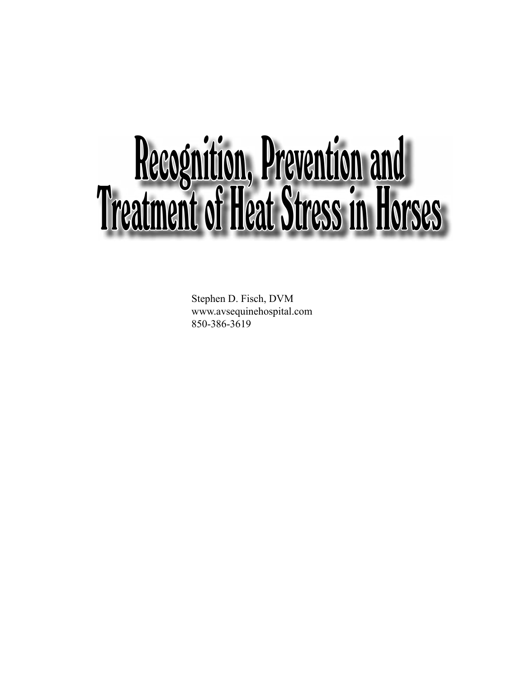## Recognition, Prevention and Treatment of Heat Stress in Horses

Stephen D. Fisch, DVM www.avsequinehospital.com 850-386-3619